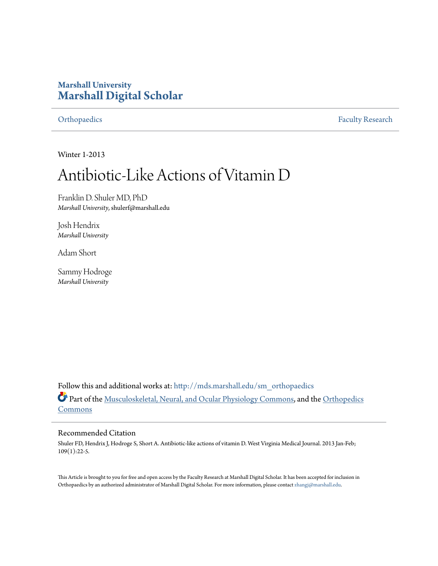# **Marshall University [Marshall Digital Scholar](http://mds.marshall.edu?utm_source=mds.marshall.edu%2Fsm_orthopaedics%2F10&utm_medium=PDF&utm_campaign=PDFCoverPages)**

[Orthopaedics](http://mds.marshall.edu/sm_orthopaedics?utm_source=mds.marshall.edu%2Fsm_orthopaedics%2F10&utm_medium=PDF&utm_campaign=PDFCoverPages) [Faculty Research](http://mds.marshall.edu/sm_faculty?utm_source=mds.marshall.edu%2Fsm_orthopaedics%2F10&utm_medium=PDF&utm_campaign=PDFCoverPages)

Winter 1-2013

# Antibiotic-Like Actions of Vitamin D

Franklin D. Shuler MD, PhD *Marshall University*, shulerf@marshall.edu

Josh Hendrix *Marshall University*

Adam Short

Sammy Hodroge *Marshall University*

Follow this and additional works at: [http://mds.marshall.edu/sm\\_orthopaedics](http://mds.marshall.edu/sm_orthopaedics?utm_source=mds.marshall.edu%2Fsm_orthopaedics%2F10&utm_medium=PDF&utm_campaign=PDFCoverPages) Part of the [Musculoskeletal, Neural, and Ocular Physiology Commons,](http://network.bepress.com/hgg/discipline/964?utm_source=mds.marshall.edu%2Fsm_orthopaedics%2F10&utm_medium=PDF&utm_campaign=PDFCoverPages) and the [Orthopedics](http://network.bepress.com/hgg/discipline/696?utm_source=mds.marshall.edu%2Fsm_orthopaedics%2F10&utm_medium=PDF&utm_campaign=PDFCoverPages) [Commons](http://network.bepress.com/hgg/discipline/696?utm_source=mds.marshall.edu%2Fsm_orthopaedics%2F10&utm_medium=PDF&utm_campaign=PDFCoverPages)

#### Recommended Citation

Shuler FD, Hendrix J, Hodroge S, Short A. Antibiotic-like actions of vitamin D. West Virginia Medical Journal. 2013 Jan-Feb; 109(1):22-5.

This Article is brought to you for free and open access by the Faculty Research at Marshall Digital Scholar. It has been accepted for inclusion in Orthopaedics by an authorized administrator of Marshall Digital Scholar. For more information, please contact [zhangj@marshall.edu.](mailto:zhangj@marshall.edu)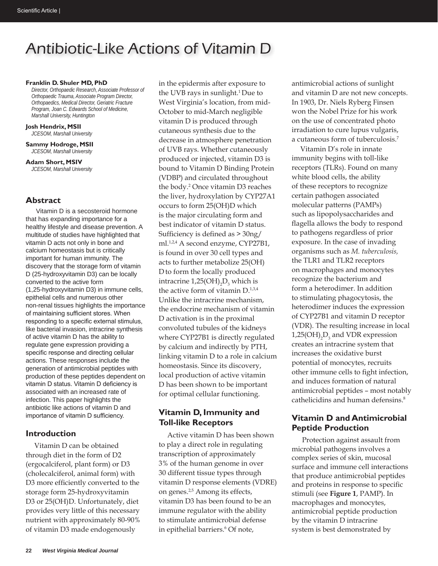# Antibiotic-Like Actions of Vitamin D

#### **Franklin D. Shuler MD, PhD**

*Director, Orthopaedic Research, Associate Professor of Orthopaedic Trauma, Associate Program Director, Orthopaedics, Medical Director, Geriatric Fracture Program, Joan C. Edwards School of Medicine, Marshall University, Huntington*

**Josh Hendrix, MSII** *JCESOM, Marshall University*

**Sammy Hodroge, MSII** *JCESOM, Marshall University*

**Adam Short, MSIV** *JCESOM, Marshall University*

### **Abstract**

Vitamin D is a secosteroid hormone that has expanding importance for a healthy lifestyle and disease prevention. A multitude of studies have highlighted that vitamin D acts not only in bone and calcium homeostasis but is critically important for human immunity. The discovery that the storage form of vitamin D (25-hydroxyvitamin D3) can be locally converted to the active form (1,25-hydroxyvitamin D3) in immune cells, epithelial cells and numerous other non-renal tissues highlights the importance of maintaining sufficient stores. When responding to a specific external stimulus, like bacterial invasion, intracrine synthesis of active vitamin D has the ability to regulate gene expression providing a specific response and directing cellular actions. These responses include the generation of antimicrobial peptides with production of these peptides dependent on vitamin D status. Vitamin D deficiency is associated with an increased rate of infection. This paper highlights the antibiotic like actions of vitamin D and importance of vitamin D sufficiency.

### **Introduction**

Vitamin D can be obtained through diet in the form of D2 (ergocalciferol, plant form) or D3 (cholecalciferol, animal form) with D3 more efficiently converted to the storage form 25-hydroxyvitamin D3 or 25(OH)D. Unfortunately, diet provides very little of this necessary nutrient with approximately 80-90% of vitamin D3 made endogenously

in the epidermis after exposure to the UVB rays in sunlight.<sup>1</sup> Due to West Virginia's location, from mid-October to mid-March negligible vitamin D is produced through cutaneous synthesis due to the decrease in atmosphere penetration of UVB rays. Whether cutaneously produced or injected, vitamin D3 is bound to Vitamin D Binding Protein (VDBP) and circulated throughout the body.2 Once vitamin D3 reaches the liver, hydroxylation by CYP27A1 occurs to form 25(OH)D which is the major circulating form and best indicator of vitamin D status. Sufficiency is defined as > 30ng/ ml.<sup>1,2,4</sup> A second enzyme, CYP27B1, is found in over 30 cell types and acts to further metabolize 25(OH) Dto form the locally produced intracrine  $1,25(OH)_2D_3$  which is the active form of vitamin  $D^{1,3,4}$ Unlike the intracrine mechanism, the endocrine mechanism of vitamin D activation is in the proximal convoluted tubules of the kidneys where CYP27B1 is directly regulated by calcium and indirectly by PTH, linking vitamin D to a role in calcium homeostasis. Since its discovery, local production of active vitamin D has been shown to be important for optimal cellular functioning.

# **Vitamin D, Immunity and Toll-like Receptors**

Active vitamin D has been shown to play a direct role in regulating transcription of approximately 3% of the human genome in over 30 different tissue types through vitamin D response elements (VDRE) on genes.<sup>2,5</sup> Among its effects, vitamin D3 has been found to be an immune regulator with the ability to stimulate antimicrobial defense in epithelial barriers.<sup>6</sup> Of note,

antimicrobial actions of sunlight and vitamin D are not new concepts. In 1903, Dr. Niels Ryberg Finsen won the Nobel Prize for his work on the use of concentrated photo irradiation to cure lupus vulgaris, a cutaneous form of tuberculosis.7

Vitamin D's role in innate immunity begins with toll-like receptors (TLRs). Found on many white blood cells, the ability of these receptors to recognize certain pathogen associated molecular patterns (PAMPs) such as lipopolysaccharides and flagella allows the body to respond to pathogens regardless of prior exposure. In the case of invading organisms such as *M. tuberculosis,*  the TLR1 and TLR2 receptors on macrophages and monocytes recognize the bacterium and form a heterodimer. In addition to stimulating phagocytosis, the heterodimer induces the expression of CYP27B1 and vitamin D receptor (VDR). The resulting increase in local  $1,25(OH)$ <sub>2</sub> $D_3$  and VDR expression creates an intracrine system that increases the oxidative burst potential of monocytes, recruits other immune cells to fight infection, and induces formation of natural antimicrobial peptides – most notably cathelicidins and human defensins.<sup>8</sup>

# **Vitamin D and Antimicrobial Peptide Production**

 Protection against assault from microbial pathogens involves a complex series of skin, mucosal surface and immune cell interactions that produce antimicrobial peptides and proteins in response to specific stimuli (see **Figure 1**, PAMP). In macrophages and monocytes, antimicrobial peptide production by the vitamin D intracrine system is best demonstrated by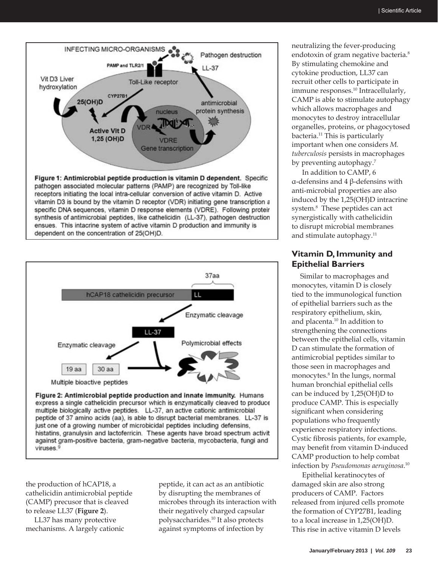

![](_page_2_Figure_2.jpeg)

Figure 2: Antimicrobial peptide production and innate immunity. Humans express a single cathelicidin precursor which is enzymatically cleaved to produce multiple biologically active peptides. LL-37, an active cationic antimicrobial peptide of 37 amino acids (aa), is able to disrupt bacterial membranes. LL-37 is just one of a growing number of microbicidal peptides including defensins, histatins, granulysin and lactoferricin. These agents have broad spectrum activit against gram-positive bacteria, gram-negative bacteria, mycobacteria, fungi and viruses.9

the production of hCAP18, a cathelicidin antimicrobial peptide (CAMP) precusor that is cleaved to release LL37 (**Figure 2**).

LL37 has many protective mechanisms. A largely cationic peptide, it can act as an antibiotic by disrupting the membranes of microbes through its interaction with their negatively charged capsular polysaccharides.10 It also protects against symptoms of infection by

neutralizing the fever-producing endotoxin of gram negative bacteria.<sup>8</sup> By stimulating chemokine and cytokine production, LL37 can recruit other cells to participate in immune responses.10 Intracellularly, CAMP is able to stimulate autophagy which allows macrophages and monocytes to destroy intracellular organelles, proteins, or phagocytosed bacteria.11 This is particularly important when one considers *M. tuberculosis* persists in macrophages by preventing autophagy.<sup>7</sup>

In addition to CAMP, 6 α-defensins and 4 β-defensins with anti-microbial properties are also induced by the 1,25(OH)D intracrine system.<sup>8</sup> These peptides can act synergistically with cathelicidin to disrupt microbial membranes and stimulate autophagy.<sup>11</sup>

## **Vitamin D, Immunity and Epithelial Barriers**

Similar to macrophages and monocytes, vitamin D is closely tied to the immunological function of epithelial barriers such as the respiratory epithelium, skin, and placenta.10 In addition to strengthening the connections between the epithelial cells, vitamin D can stimulate the formation of antimicrobial peptides similar to those seen in macrophages and monocytes.8 In the lungs, normal human bronchial epithelial cells can be induced by 1,25(OH)D to produce CAMP. This is especially significant when considering populations who frequently experience respiratory infections. Cystic fibrosis patients, for example, may benefit from vitamin D-induced CAMP production to help combat infection by *Pseudomonas aeruginosa*. 10

Epithelial keratinocytes of damaged skin are also strong producers of CAMP. Factors released from injured cells promote the formation of CYP27B1, leading to a local increase in 1,25(OH)D. This rise in active vitamin D levels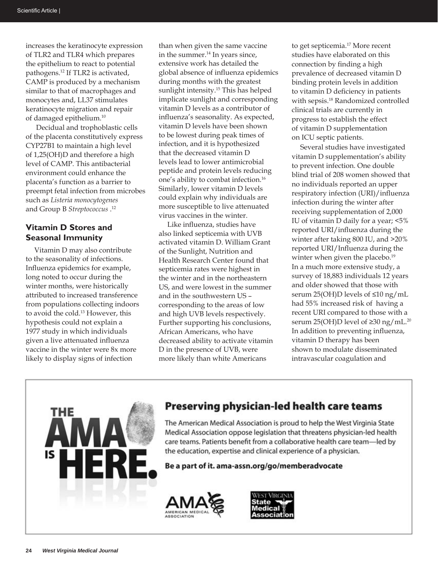increases the keratinocyte expression of TLR2 and TLR4 which prepares the epithelium to react to potential pathogens.12 If TLR2 is activated, CAMP is produced by a mechanism similar to that of macrophages and monocytes and, LL37 stimulates keratinocyte migration and repair of damaged epithelium.10

Decidual and trophoblastic cells of the placenta constitutively express CYP27B1 to maintain a high level of 1,25(OH)D and therefore a high level of CAMP. This antibacterial environment could enhance the placenta's function as a barrier to preempt fetal infection from microbes such as *Listeria monocytogenes* and Group B *Streptococcus* . 12

### **Vitamin D Stores and Seasonal Immunity**

Vitamin D may also contribute to the seasonality of infections. Influenza epidemics for example, long noted to occur during the winter months, were historically attributed to increased transference from populations collecting indoors to avoid the cold.13 However, this hypothesis could not explain a 1977 study in which individuals given a live attenuated influenza vaccine in the winter were 8x more likely to display signs of infection

than when given the same vaccine in the summer. $^{14}$  In years since, extensive work has detailed the global absence of influenza epidemics during months with the greatest sunlight intensity.<sup>15</sup> This has helped implicate sunlight and corresponding vitamin D levels as a contributor of influenza's seasonality. As expected, vitamin D levels have been shown to be lowest during peak times of infection, and it is hypothesized that the decreased vitamin D levels lead to lower antimicrobial peptide and protein levels reducing one's ability to combat infection.16 Similarly, lower vitamin D levels could explain why individuals are more susceptible to live attenuated virus vaccines in the winter.

Like influenza, studies have also linked septicemia with UVB activated vitamin D. William Grant of the Sunlight, Nutrition and Health Research Center found that septicemia rates were highest in the winter and in the northeastern US, and were lowest in the summer and in the southwestern US – corresponding to the areas of low and high UVB levels respectively. Further supporting his conclusions, African Americans, who have decreased ability to activate vitamin D in the presence of UVB, were more likely than white Americans

to get septicemia.17 More recent studies have elaborated on this connection by finding a high prevalence of decreased vitamin D binding protein levels in addition to vitamin D deficiency in patients with sepsis.18 Randomized controlled clinical trials are currently in progress to establish the effect of vitamin D supplementation on ICU septic patients.

Several studies have investigated vitamin D supplementation's ability to prevent infection. One double blind trial of 208 women showed that no individuals reported an upper respiratory infection (URI)/influenza infection during the winter after receiving supplementation of 2,000 IU of vitamin D daily for a year; <5% reported URI/influenza during the winter after taking 800 IU, and >20% reported URI/Influenza during the winter when given the placebo.<sup>19</sup> In a much more extensive study, a survey of 18,883 individuals 12 years and older showed that those with serum 25(OH)D levels of ≤10 ng/mL had 55% increased risk of having a recent URI compared to those with a serum 25(OH)D level of  $\geq$ 30 ng/mL.<sup>20</sup> In addition to preventing influenza, vitamin D therapy has been shown to modulate disseminated intravascular coagulation and

![](_page_3_Picture_9.jpeg)

# Preserving physician-led health care teams

The American Medical Association is proud to help the West Virginia State Medical Association oppose legislation that threatens physician-led health care teams. Patients benefit from a collaborative health care team-led by the education, expertise and clinical experience of a physician.

Be a part of it. ama-assn.org/go/memberadvocate

![](_page_3_Picture_13.jpeg)

![](_page_3_Picture_14.jpeg)